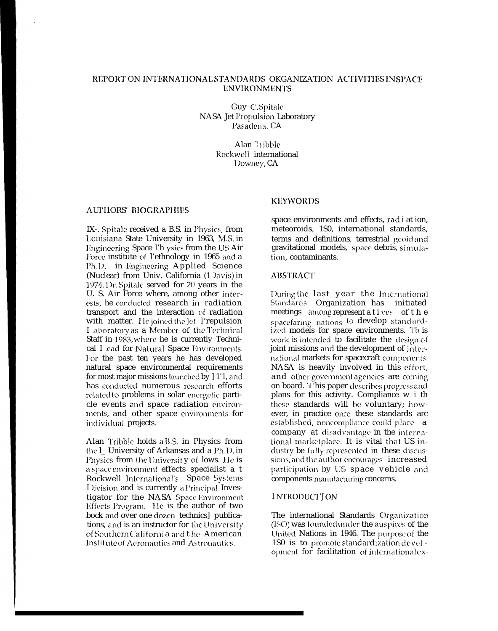Guy C.Spitale **NASA Jet Propulsion Laboratory** Pasadena, CA

> Alan Tribble Rockwell international Downey, CA

#### **AUFIORS' BIOGRAPHIES**

IX-. Spitale received a B.S. in Physics, from Louisiana State University in 1963, M.S. in Engineering Space I'h ysics from the US Air Force institute of l'ethnology in 1965 and a Ph.D. in Engineering Applied Science (Nuclear) from Univ. California (1 )avis) in 1974. Dr. Spitale served for 20 years in the U. S. Air Force where, among other interests, he conducted research in radiation transport and the interaction of radiation with matter. He joined the let l'repulsion I aboratory as a Member of the Technical Staff in 1983, where he is currently Technical I cad for Natural Space Environments. For the past ten years he has developed natural space environmental requirements for most major missions launched by 11'1, and has conducted numerous research efforts related to problems in solar energetic particle events and space radiation environments, and other space environments for individual projects.

Alan Tribble holds a B.S. in Physics from the l\_ University of Arkansas and a Ph.1). in Physics from the University of lows. He is a space environment effects specialist a t Rockwell International's Space Systems Division and is currently a Principal Investigator for the NASA Space Environment Effects Program. He is the author of two bock and over one dozen technics] publications, and is an instructor for the University of Southern California and the American Institute of Aeronautics and Astronautics.

## **KEYWORDS**

space environments and effects, radi at ion, meteoroids, 1S0, international standards, terms and definitions, terrestrial geoidand gravitational models, space debris, simulation, contaminants.

#### **ABSTRACT**

During the last year the International Standards Organization has initiated meetings among represent a t i ves of t h e spacefaring nations to develop standardized models for space environments. Th is work is intended to facilitate the design of joint missions and the development of international markets for spacecraft components. NASA is heavily involved in this effort, and other government agencies are coming on board. This paper describes progress and plans for this activity. Compliance w i th these standards will be voluntary; however, in practice once these standards arc established, noncompliance could place a company at disadvantage in the international marketplace. It is vital that US industry be fully represented in these discussions, and the author encourages increased participation by US space vehicle and components manufacturing concerns.

## **INTRODUCT TON**

The international Standards Organization (ISO) was founded under the auspices of the United Nations in 1946. The purpose of the 1S0 is to promote standardization devel opment for facilitation of internationalex-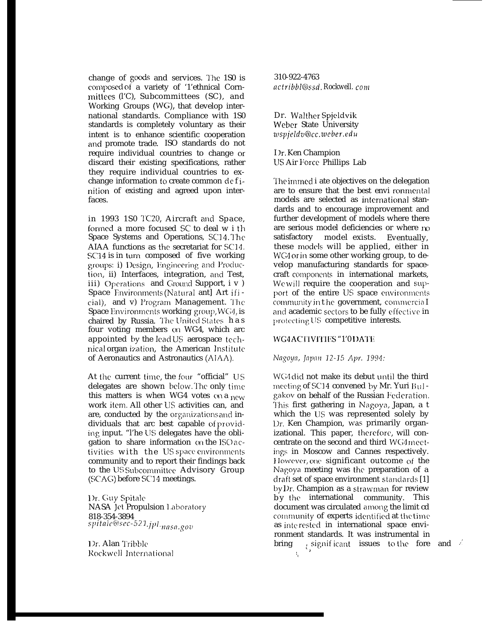change of goods and services. l'he 1S0 is composed of a variety of '1'ethnical Cornmittecs (l'C), Subcommittees (SC), and Working Groups (WG), that develop international standards. Compliance with 1S0 standards is completely voluntary as their intent is to enhance scientific cooperation and promote trade. ISO standards do not require individual countries to change or discard their existing specifications, rather they require individual countries to exchange information to create common de f inition of existing and agreed upon interfaces.

in 1993 1S0 TC20, Aircraft and Space, formed a more focused SC to deal w i th Space Systems and Operations, SC14. The AIAA functions as the secretariat for SC14. SC14 is in turn composed of five working groups: i) Design, Engineering and Production, ii) Interfaces, integration, and Test, iii) Operations and Ground Support,  $i \vee j$ Space Environments (Natural ant] Art ificial), and v) Program Management. The Space Environments working group, WG4, is chaired by Russia. The United States has four voting members on WG4, which arc appointed by the lead US aerospace technical organ ization, the American Institute of Aeronautics and Astronautics (AIAA).

At the current time, the four "official" US delegates are shown below. The only time this matters is when WG4 votes  $(x)$  a new work itcm. All other LJS activities can, and are, conducted by the organizations and individuals that arc best capable of providing input. "I'he US delegates have the obligation to share information on the ISO activities with the US space environments community and to report their findings back to the US Subcommittee Advisory Group (SCAG) before SC~4 meetings.

Dr. Guy Spitale NASA ]et Propulsion 1.aboratory 818-354-3894 *s/~ltnl CCl~SeC-521 .j/)l. rlflsfl.,q(l~l*

1)r. Alan Tribble Rockwel] lnternationa] 310-922-4763 *actribbl@ssd. Rockwell. com*

Dr. Walther Spjeldvik Weber State University  $z$ *wspjeldv@cc.weber.edu* 

I Ir. Ken Champion US Air Force Phillips Lab

The immed i ate objectives on the delegation are to ensure that the best envi ronmental models are selected as international standards and to encourage improvement and further development of models where there are serious model deficiencies or where m satisfactory model exists. Eventually, these models will be applied, either in WG4 or in some other working group, to develop manufacturing standards for spacecraft components in international markets, We will require the cooperation and support of the entire US space environments community in the government, commercia I and academic sectors to be fully effective in protecting US competitive interests.

# WG4ACTIVITIES "1'0 DATE

Nagoya, Japan 12-15 Apr. 1994:

WG4 did not make its debut until the third meeting of SC14 convened by Mr. Yuri Bulgakov on behalf of the Russian Fecleration. This first gathering in Nagova, Japan, a t which the lJS was represented solely by l)r. Ken Champion, was primarily organizational. This paper, therefore, will concentrate on the second and third WG4 meetings in Moscow and Cannes respectively. } Iowever, me significant outcome of the Nagoya meeting was the preparation of a draft set of space environment standards [1] by Dr. Champion as a strawman for review by the international community. This document was circulated among the limit cd  $community$  of experts identified at the time as interested in international space environment standards. It was instrumental in bring  $\frac{1}{2}$  significant issues to the fore and  $\frac{1}{2}$  $\mathcal{A}_{\mathbf{z}}$  :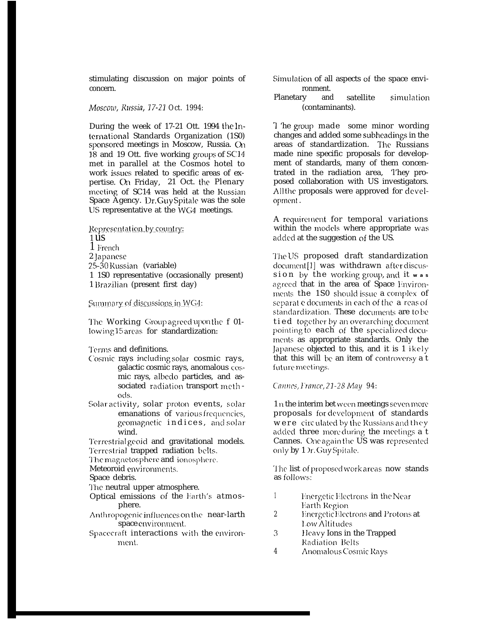stimulating discussion on major points of concern.

Moscow, Russia, 17-21 Oct. 1994:

During the week of 17-21 Ott. 1994 the lnternational Standards Organization (1S0) sponsored meetings in Moscow, Russia. On 18 and 19 Ott. five working groups of SC14 met in parallel at the Cosmos hotel to work issues related to specific areas of expertise. On Friday, 21 Oct. the Plenary meeting of SC14 was held at the Russian Space Agency. Dr. Guy Spitale was the sole US representative at the WG4 meetings.

Representation by country:  $1\overline{u}$  $1$  French 2 lapanese 25-30 Russian (variable) 1 1S0 representative (occasionally present) 1 Brazilian (present first day)

Summary of discussions in WG4:

The Working Group agreed upon the f 01lowing 15 areas for standardization:

Terms and definitions.

- Cosmic rays including solar cosmic rays, galactic cosmic rays, anomalous cosmic rays, albedo particles, and associated radiation transport methods.
- Solar activity, solar proton events, solar emanations of various frequencies, geomagnetic indices, and solar wind.

Terrestrial geoid and gravitational models. Terrestrial trapped radiation belts.

The magnetosphere and ionosphere.

Meteoroid environments.

Space debris.

The neutral upper atmosphere.

- Optical emissions of the Earth's atmosphere.
- Anthropogenic influences on the near-larth space environment.
- Spacecraft interactions with the environment.
- Simulation of all aspects of the space environment.
- Planetary and satellite simulation (contaminants).

T 'he group made some minor wording changes and added some subheadings in the areas of standardization. The Russians made nine specific proposals for development of standards, many of them concentrated in the radiation area, They proposed collaboration with US investigators. Allthe proposals were approved for development.

A requirement for temporal variations within the models where appropriate was added at the suggestion of the US.

The US proposed draft standardization document [1] was withdrawn after discussion by the working group, and it was agreed that in the area of Space Environments the 1S0 should issue a complex of separat e documents in each of the **a** reas of standardization. These documents are to be tied together by an overarching document pointing to each of the specialized documents as appropriate standards. Only the Japanese objected to this, and it is 1 ikely that this will be an item of controversy a t future meetings.

Cannes, France, 21-28 May 94:

1 n the interim bet ween meetings seven more proposals for development of standards were circulated by the Russians and they added three more during the meetings a t Cannes. One again the US was represented only by 1 Dr. Guy Spitale.

The list of proposed work areas now stands as follows:

- $\mathbf{1}$ Energetic Electrons in the Near **Earth Region**
- $\overline{2}$ **Energetic Electrons and Protons at** Low Altitudes
- $3<sup>1</sup>$ Heavy Ions in the Trapped Radiation Belts
- $\overline{4}$ Anomalous Cosmic Rays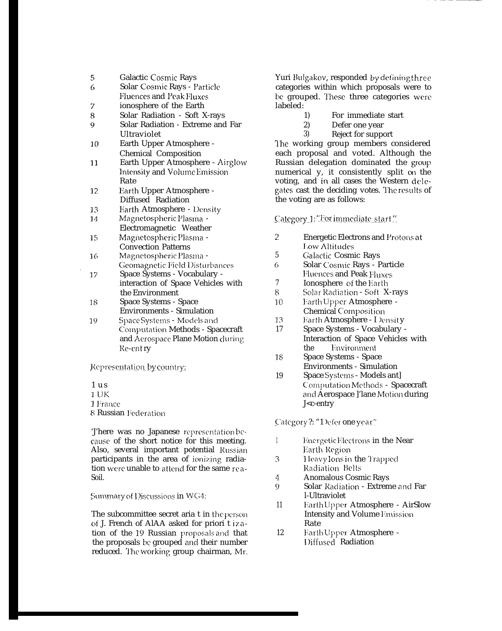- 5 **Galactic Cosmic Rays**
- 6 Solar Cosmic Rays - Particle **Fluences and Peak Fluxes**
- $\overline{7}$ ionosphere of the Earth
- 8 Solar Radiation - Soft X-rays
- $\overline{Q}$ Solar Radiation - Extreme and Far Ultraviolet
- Earth Upper Atmosphere - $10$ **Chemical Composition**
- Earth Upper Atmosphere Airglow  $11$ Intensity and Volume Emission Rate
- Earth Upper Atmosphere -12 Diffused Radiation
- Earth Atmosphere Density 13
- Magnetospheric Plasma -14 Electromagnetic Weather
- Magnetospheric Plasma -15 **Convection Patterns**
- Magnetospheric Plasma -16 Geomagnetic Field Disturbances
- Space Systems Vocabulary -17 interaction of Space Vehicles with the Environment
- Space Systems Space 18 **Environments - Simulation**
- 19 Space Systems - Models and Computation Methods - Spacecraft and Aerospace Plane Motion during Re-entry

Representation by country:

- $1<sub>us</sub>$ 1 UK 1 France
- 8 Russian Federation

There was no Japanese representation because of the short notice for this meeting. Also, several important potential Russian participants in the area of ionizing radiation were unable to attend for the same rea-Soil.

Summary of Discussions in WG4:

The subcommittee secret aria t in the person of J. French of AlAA asked for priori t ization of the 19 Russian proposals and that the proposals be grouped and their number reduced. The working group chairman, Mr.

Yuri Bulgakov, responded by defining three categories within which proposals were to be grouped. These three categories were labeled:

- 1) For immediate start
- $2)$ Defer one year
- $3)$ Reject for support

The working group members considered each proposal and voted. Although the Russian delegation dominated the group numerical y, it consistently split on the voting, and in all cases the Western delegates cast the deciding votes. The results of the voting are as follows:

Category 1: "For immediate start"

- $\overline{2}$ **Energetic Electrons and Protons at Low Altitudes**
- $5\phantom{.0}$ Galactic Cosmic Rays
- 6 Solar Cosmic Rays - Particle **Fluences and Peak Fluxes**
- $\overline{7}$ Ionosphere of the Earth
- Solar Radiation Soft X-rays 8
- $10<sup>°</sup>$ Earth Upper Atmosphere -Chemical Composition
- 13 Earth Atmosphere - I Density
- Space Systems Vocabulary -17 Interaction of Space Vehicles with Environment the
- 18 Space Systems - Space **Environments - Simulation**
- Space Systems Models ant] 19 Computation Methods - Spacecraft and Aerospace ]'lane Motion during J<c-entry

Category?: "1 Defer one year"

- $\mathbf{1}$ Energetic Electrons in the Near Earth Region
- Heavy Ions in the Trapped 3 Radiation Belts
- $\overline{4}$ **Anomalous Cosmic Rays**
- $\Omega$ Solar Radiation - Extreme and Far l-Ultraviolet
- **Earth Upper Atmosphere AirSlow**  $11$ **Intensity and Volume Emission** Rate
- 12 Earth Upper Atmosphere -Diffused Radiation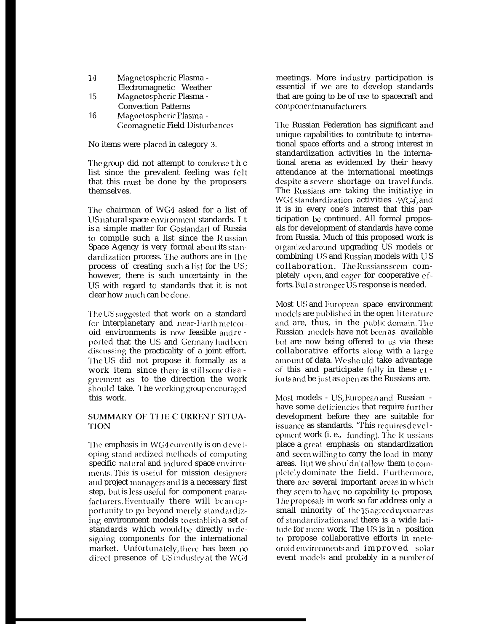| 14 | Magnetospheric Plasma - |  |
|----|-------------------------|--|
|    | Electromagnetic Weather |  |

- 15 Magnetospheric Plasma -**Convection Patterns**
- 16 Magnetospheric Plasma -Geomagnetic Field Disturbances

No items were placed in category 3.

The group did not attempt to condense t h c list since the prevalent feeling was felt that this must be done by the proposers themselves.

The chairman of WG4 asked for a list of US natural space environment standards. I t is a simple matter for Gostandart of Russia to compile such a list since the Russian Space Agency is very formal about its standardization process. The authors are in the process of creating such a list for the US; however, there is such uncertainty in the US with regard to standards that it is not clear how much can be done.

The US suggested that work on a standard for interplanetary and near-Harthmeteoroid environments is now feasible and reported that the US and Germany had been discussing the practicality of a joint effort. The US did not propose it formally as a work item since there is still some disa greement as to the direction the work should take. The working group encouraged this work.

# SUMMARY OF THE CURRENT SITUA-**TION**

The emphasis in WG4 currently is on developing stand ardized methods of computing specific natural and induced space environments. This is useful for mission designers and project managers and is a necessary first step, but is less useful for component manufacturers. Eventually there will be an opportunity to go beyond merely standardizing environment models to establish a set of standards which would be directly indesigning components for the international market. Unfortunately, there has been no direct presence of US industry at the WG4

meetings. More industry participation is essential if we are to develop standards that are going to be of use to spacecraft and componentmanufacturers.

The Russian Federation has significant and unique capabilities to contribute to international space efforts and a strong interest in standardization activities in the international arena as evidenced by their heavy attendance at the international meetings despite a severe shortage on travelfunds. The Russians are taking the initiative in WG4 standardization activities WG4, and it is in every one's interest that this participation be continued. All formal proposals for development of standards have come from Russia. Much of this proposed work is organized around upgrading US models or combining US and Russian models with US collaboration. The Russians seem completely open, and eager for cooperative efforts. But a stronger US response is needed.

Most US and European space environment models are published in the open literature and are, thus, in the public domain. The Russian models have not been as available but are now being offered to us via these collaborative efforts along with a large amount of data. We should take advantage of this and participate fully in these  $ef$ forts and be just as open as the Russians are.

Most models - US, European and Russian have some deficiencies that require further development before they are suitable for issuance as standards. "I'his requires development work (i. e., funding). The R ussians place a great emphasis on standardization and seem willing to carry the load in many areas. But we shouldn't allow them to completely dominate the field. Furthermore, there are several important areas in which they seem to have no capability to propose, The proposals in work so far address only a small minority of the 15 agreed uponareas of standardization and there is a wide latitude for more work. The US is in a position to propose collaborative efforts in meteoroid environments and improved solar event models and probably in a number of